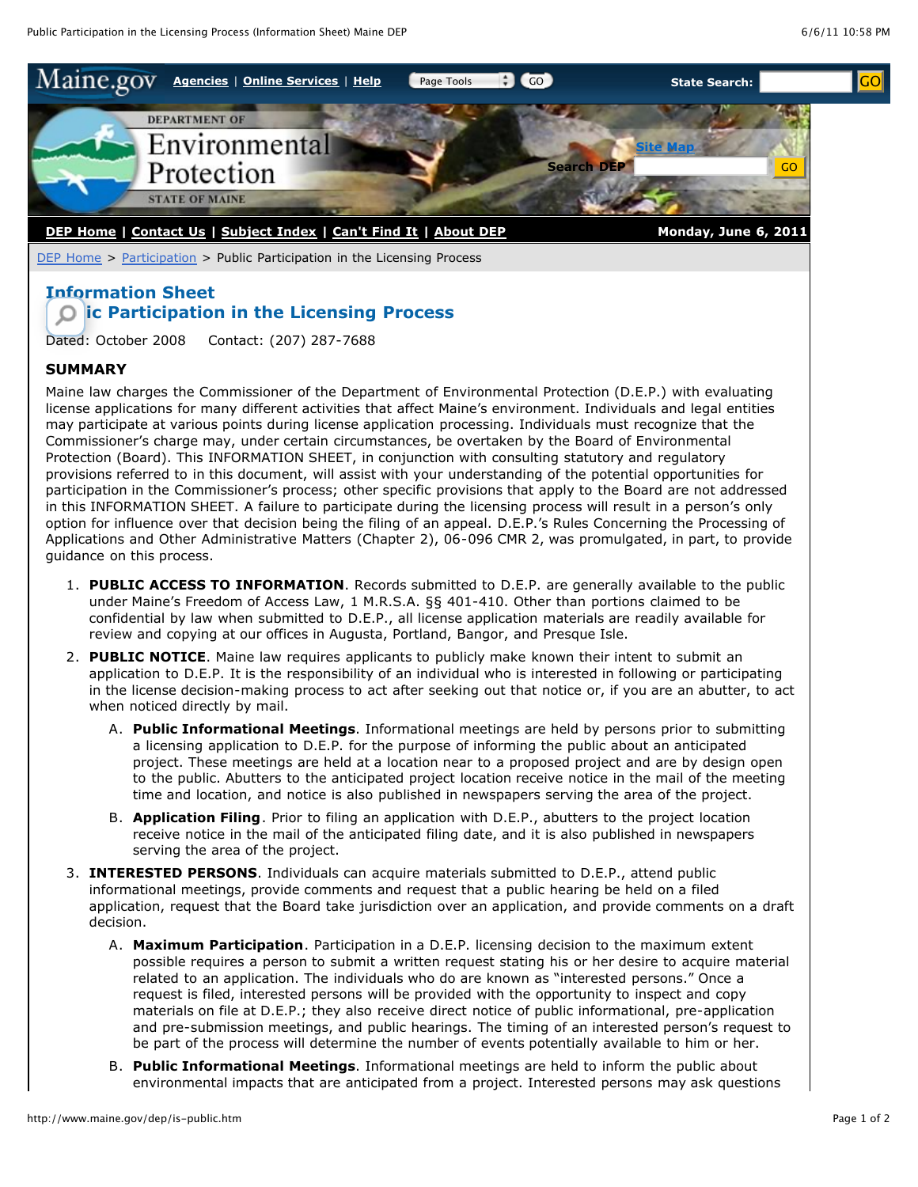

[DEP Home](http://www.maine.gov/dep/index.shtml) > [Participation](http://www.maine.gov/dep/public.htm) > Public Participation in the Licensing Process

## **Information Sheet Public Participation in the Licensing Process**

Dated: October 2008 Contact: (207) 287-7688

## **SUMMARY**

Maine law charges the Commissioner of the Department of Environmental Protection (D.E.P.) with evaluating license applications for many different activities that affect Maine's environment. Individuals and legal entities may participate at various points during license application processing. Individuals must recognize that the Commissioner's charge may, under certain circumstances, be overtaken by the Board of Environmental Protection (Board). This INFORMATION SHEET, in conjunction with consulting statutory and regulatory provisions referred to in this document, will assist with your understanding of the potential opportunities for participation in the Commissioner's process; other specific provisions that apply to the Board are not addressed in this INFORMATION SHEET. A failure to participate during the licensing process will result in a person's only option for influence over that decision being the filing of an appeal. D.E.P.'s Rules Concerning the Processing of Applications and Other Administrative Matters (Chapter 2), 06-096 CMR 2, was promulgated, in part, to provide guidance on this process.

- 1. **PUBLIC ACCESS TO INFORMATION**. Records submitted to D.E.P. are generally available to the public under Maine's Freedom of Access Law, 1 M.R.S.A. §§ 401-410. Other than portions claimed to be confidential by law when submitted to D.E.P., all license application materials are readily available for review and copying at our offices in Augusta, Portland, Bangor, and Presque Isle.
- 2. **PUBLIC NOTICE**. Maine law requires applicants to publicly make known their intent to submit an application to D.E.P. It is the responsibility of an individual who is interested in following or participating in the license decision-making process to act after seeking out that notice or, if you are an abutter, to act when noticed directly by mail.
	- A. **Public Informational Meetings**. Informational meetings are held by persons prior to submitting a licensing application to D.E.P. for the purpose of informing the public about an anticipated project. These meetings are held at a location near to a proposed project and are by design open to the public. Abutters to the anticipated project location receive notice in the mail of the meeting time and location, and notice is also published in newspapers serving the area of the project.
	- B. **Application Filing**. Prior to filing an application with D.E.P., abutters to the project location receive notice in the mail of the anticipated filing date, and it is also published in newspapers serving the area of the project.
- 3. **INTERESTED PERSONS**. Individuals can acquire materials submitted to D.E.P., attend public informational meetings, provide comments and request that a public hearing be held on a filed application, request that the Board take jurisdiction over an application, and provide comments on a draft decision.
	- A. **Maximum Participation**. Participation in a D.E.P. licensing decision to the maximum extent possible requires a person to submit a written request stating his or her desire to acquire material related to an application. The individuals who do are known as "interested persons." Once a request is filed, interested persons will be provided with the opportunity to inspect and copy materials on file at D.E.P.; they also receive direct notice of public informational, pre-application and pre-submission meetings, and public hearings. The timing of an interested person's request to be part of the process will determine the number of events potentially available to him or her.
	- B. **Public Informational Meetings**. Informational meetings are held to inform the public about environmental impacts that are anticipated from a project. Interested persons may ask questions